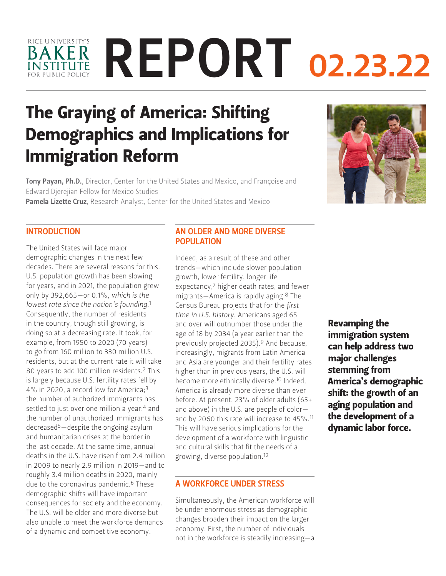# BAKER REPORT 02.23.22 RICE UNIVERSITY'S

# The Graying of America: Shifting Demographics and Implications for Immigration Reform

Tony Payan, Ph.D., Director, Center for the United States and Mexico, and Françoise and [Edward Djerejian Fellow for Mexico Studies](https://www.bakerinstitute.org/experts/tony-payan/)

Pamela Lizette Cruz[, Research Analyst, Center for the United States and Mexico](https://www.bakerinstitute.org/experts/pamela-lizette-cruz/)



The United States will face major demographic changes in the next few decades. There are several reasons for this. U.S. population growth has been slowing for years, and in 2021, the population grew only by 392,665—or 0.1%, *which is the lowest rate since the nation's founding*.1 Consequently, the number of residents in the country, though still growing, is doing so at a decreasing rate. It took, for example, from 1950 to 2020 (70 years) to go from 160 million to 330 million U.S. residents, but at the current rate it will take 80 years to add 100 million residents.2 This is largely because U.S. fertility rates fell by 4% in 2020, a record low for America;3 the number of authorized immigrants has settled to just over one million a year;<sup>4</sup> and the number of unauthorized immigrants has decreased5—despite the ongoing asylum and humanitarian crises at the border in the last decade. At the same time, annual deaths in the U.S. have risen from 2.4 million in 2009 to nearly 2.9 million in 2019—and to roughly 3.4 million deaths in 2020, mainly due to the coronavirus pandemic.<sup>6</sup> These demographic shifts will have important consequences for society and the economy. The U.S. will be older and more diverse but also unable to meet the workforce demands of a dynamic and competitive economy.

#### AN OLDER AND MORE DIVERSE **POPULATION**

Indeed, as a result of these and other trends—which include slower population growth, lower fertility, longer life expectancy,7 higher death rates, and fewer migrants—America is rapidly aging.8 The Census Bureau projects that for the *first time in U.S. history*, Americans aged 65 and over will outnumber those under the age of 18 by 2034 (a year earlier than the previously projected 2035).9 And because, increasingly, migrants from Latin America and Asia are younger and their fertility rates higher than in previous years, the U.S. will become more ethnically diverse.<sup>10</sup> Indeed, America is already more diverse than ever before. At present, 23% of older adults (65+ and above) in the U.S. are people of color and by 2060 this rate will increase to 45%.11 This will have serious implications for the development of a workforce with linguistic and cultural skills that fit the needs of a growing, diverse population.12

#### A WORKFORCE UNDER STRESS

Simultaneously, the American workforce will be under enormous stress as demographic changes broaden their impact on the larger economy. First, the number of individuals not in the workforce is steadily increasing—a

Revamping the immigration system can help address two major challenges stemming from America's demographic shift: the growth of an aging population and the development of a dynamic labor force.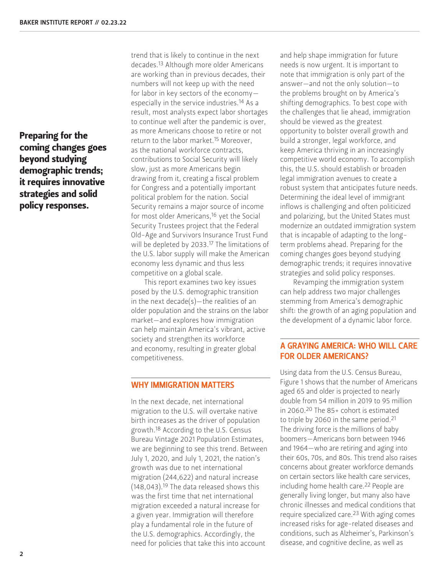Preparing for the coming changes goes beyond studying demographic trends; it requires innovative strategies and solid policy responses.

trend that is likely to continue in the next decades.13 Although more older Americans are working than in previous decades, their numbers will not keep up with the need for labor in key sectors of the economy especially in the service industries.14 As a result, most analysts expect labor shortages to continue well after the pandemic is over, as more Americans choose to retire or not return to the labor market.15 Moreover, as the national workforce contracts, contributions to Social Security will likely slow, just as more Americans begin drawing from it, creating a fiscal problem for Congress and a potentially important political problem for the nation. Social Security remains a major source of income for most older Americans,<sup>16</sup> yet the Social Security Trustees project that the Federal Old-Age and Survivors Insurance Trust Fund will be depleted by 2033.17 The limitations of the U.S. labor supply will make the American economy less dynamic and thus less competitive on a global scale.

This report examines two key issues posed by the U.S. demographic transition in the next decade(s)—the realities of an older population and the strains on the labor market—and explores how immigration can help maintain America's vibrant, active society and strengthen its workforce and economy, resulting in greater global competitiveness.

#### WHY IMMIGRATION MATTERS

In the next decade, net international migration to the U.S. will overtake native birth increases as the driver of population growth.18 According to the U.S. Census Bureau Vintage 2021 Population Estimates, we are beginning to see this trend. Between July 1, 2020, and July 1, 2021, the nation's growth was due to net international migration (244,622) and natural increase (148,043).19 The data released shows this was the first time that net international migration exceeded a natural increase for a given year. Immigration will therefore play a fundamental role in the future of the U.S. demographics. Accordingly, the need for policies that take this into account

and help shape immigration for future needs is now urgent. It is important to note that immigration is only part of the answer—and not the only solution—to the problems brought on by America's shifting demographics. To best cope with the challenges that lie ahead, immigration should be viewed as the greatest opportunity to bolster overall growth and build a stronger, legal workforce, and keep America thriving in an increasingly competitive world economy. To accomplish this, the U.S. should establish or broaden legal immigration avenues to create a robust system that anticipates future needs. Determining the ideal level of immigrant inflows is challenging and often politicized and polarizing, but the United States must modernize an outdated immigration system that is incapable of adapting to the longterm problems ahead. Preparing for the coming changes goes beyond studying demographic trends; it requires innovative strategies and solid policy responses.

Revamping the immigration system can help address two major challenges stemming from America's demographic shift: the growth of an aging population and the development of a dynamic labor force.

### A GRAYING AMERICA: WHO WILL CARE FOR OLDER AMERICANS?

Using data from the U.S. Census Bureau, Figure 1 shows that the number of Americans aged 65 and older is projected to nearly double from 54 million in 2019 to 95 million in 2060.20 The 85+ cohort is estimated to triple by 2060 in the same period.<sup>21</sup> The driving force is the millions of baby boomers—Americans born between 1946 and 1964—who are retiring and aging into their 60s, 70s, and 80s. This trend also raises concerns about greater workforce demands on certain sectors like health care services, including home health care.<sup>22</sup> People are generally living longer, but many also have chronic illnesses and medical conditions that require specialized care.23 With aging comes increased risks for age-related diseases and conditions, such as Alzheimer's, Parkinson's disease, and cognitive decline, as well as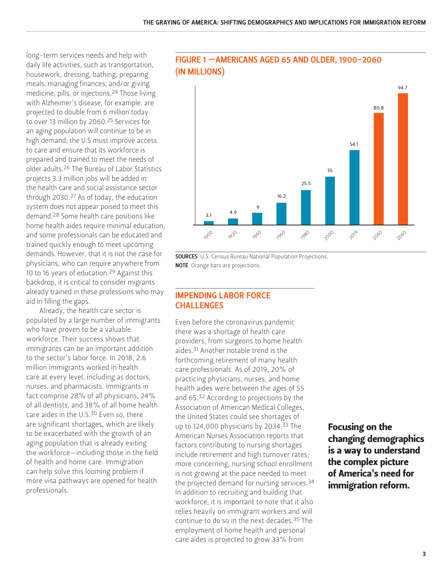long-term services needs and help with daily life activities, such as transportation, housework, dressing, bathing, preparing meals, managing finances, and/or giving medicine, pills, or injections.24 Those living with Alzheimer's disease, for example, are projected to double from 6 million today to over 13 million by 2060.25 Services for an aging population will continue to be in high demand; the U.S must improve access to care and ensure that its workforce is prepared and trained to meet the needs of older adults.26 The Bureau of Labor Statistics projects 3.3 million jobs will be added in the health care and social assistance sector through 2030.<sup>27</sup> As of today, the education system does not appear poised to meet this demand.28 Some health care positions like home health aides require minimal education, and some professionals can be educated and trained quickly enough to meet upcoming demands. However, that it is not the case for physicians, who can require anywhere from 10 to 16 years of education.<sup>29</sup> Against this backdrop, it is critical to consider migrants already trained in these professions who may aid in filling the gaps.

Already, the health care sector is populated by a large number of immigrants who have proven to be a valuable workforce. Their success shows that immigrants can be an important addition to the sector's labor force. In 2018, 2.6 million immigrants worked in health care at every level, including as doctors, nurses, and pharmacists. Immigrants in fact comprise 28% of all physicians, 24% of all dentists, and 38% of all home health care aides in the U.S.<sup>30</sup> Even so, there are significant shortages, which are likely to be exacerbated with the growth of an aging population that is already exiting the workforce—including those in the field of health and home care. Immigration can help solve this looming problem if more visa pathways are opened for health professionals.

## FIGURE 1 —AMERICANS AGED 65 AND OLDER, 1900-2060 (IN MILLIONS)



**SOURCES** U.S. Census Bureau National Population Projections. NOTE Orange bars are projections.

#### IMPENDING LABOR FORCE **CHALLENGES**

Even before the coronavirus pandemic there was a shortage of health care providers, from surgeons to home health aides.31 Another notable trend is the forthcoming retirement of many health care professionals. As of 2019, 20% of practicing physicians, nurses, and home health aides were between the ages of 55 and 65.32 According to projections by the Association of American Medical Colleges, the United States could see shortages of up to 124,000 physicians by 2034.<sup>33</sup> The American Nurses Association reports that factors contributing to nursing shortages include retirement and high turnover rates; more concerning, nursing school enrollment is not growing at the pace needed to meet the projected demand for nursing services.34 In addition to recruiting and building that workforce, it is important to note that it also relies heavily on immigrant workers and will continue to do so in the next decades.35 The employment of home health and personal care aides is projected to grow 33% from

Focusing on the changing demographics is a way to understand the complex picture of America's need for immigration reform.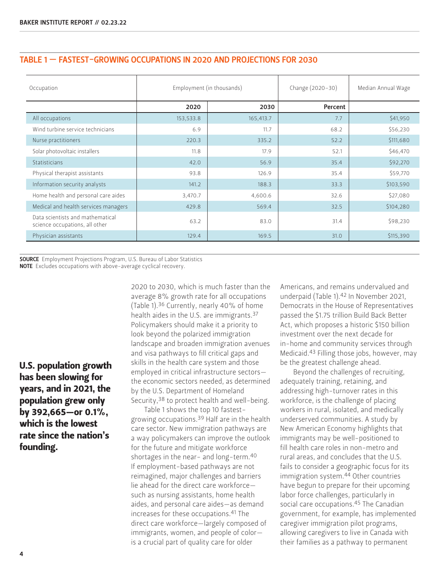| TABLE 1 - FASTEST-GROWING OCCUPATIONS IN 2020 AND PROJECTIONS FOR 2030 |  |  |
|------------------------------------------------------------------------|--|--|
|------------------------------------------------------------------------|--|--|

| Occupation                                                         | Employment (in thousands) |           | Change (2020-30) | Median Annual Wage |
|--------------------------------------------------------------------|---------------------------|-----------|------------------|--------------------|
|                                                                    | 2020                      | 2030      | Percent          |                    |
| All occupations                                                    | 153,533.8                 | 165,413.7 | 7.7              | \$41,950           |
| Wind turbine service technicians                                   | 6.9                       | 11.7      | 68.2             | \$56,230           |
| Nurse practitioners                                                | 220.3                     | 335.2     | 52.2             | \$111,680          |
| Solar photovoltaic installers                                      | 11.8                      | 17.9      | 52.1             | \$46,470           |
| Statisticians                                                      | 42.0                      | 56.9      | 35.4             | \$92,270           |
| Physical therapist assistants                                      | 93.8                      | 126.9     | 35.4             | \$59,770           |
| Information security analysts                                      | 141.2                     | 188.3     | 33.3             | \$103,590          |
| Home health and personal care aides                                | 3,470.7                   | 4,600.6   | 32.6             | \$27,080           |
| Medical and health services managers                               | 429.8                     | 569.4     | 32.5             | \$104,280          |
| Data scientists and mathematical<br>science occupations, all other | 63.2                      | 83.0      | 31.4             | \$98,230           |
| Physician assistants                                               | 129.4                     | 169.5     | 31.0             | \$115,390          |

SOURCE Employment Projections Program, U.S. Bureau of Labor Statistics **NOTE** Excludes occupations with above-average cyclical recovery.

U.S. population growth has been slowing for years, and in 2021, the population grew only by 392,665—or 0.1%, which is the lowest rate since the nation's founding.

2020 to 2030, which is much faster than the average 8% growth rate for all occupations (Table 1).36 Currently, nearly 40% of home health aides in the U.S. are immigrants.37 Policymakers should make it a priority to look beyond the polarized immigration landscape and broaden immigration avenues and visa pathways to fill critical gaps and skills in the health care system and those employed in critical infrastructure sectors the economic sectors needed, as determined by the U.S. Department of Homeland Security,<sup>38</sup> to protect health and well-being.

Table 1 shows the top 10 fastestgrowing occupations.39 Half are in the health care sector. New immigration pathways are a way policymakers can improve the outlook for the future and mitigate workforce shortages in the near- and long-term.40 If employment-based pathways are not reimagined, major challenges and barriers lie ahead for the direct care workforce such as nursing assistants, home health aides, and personal care aides—as demand increases for these occupations.41 The direct care workforce—largely composed of immigrants, women, and people of color is a crucial part of quality care for older

Americans, and remains undervalued and underpaid (Table 1).42 In November 2021, Democrats in the House of Representatives passed the \$1.75 trillion Build Back Better Act, which proposes a historic \$150 billion investment over the next decade for in-home and community services through Medicaid.43 Filling those jobs, however, may be the greatest challenge ahead.

Beyond the challenges of recruiting, adequately training, retaining, and addressing high-turnover rates in this workforce, is the challenge of placing workers in rural, isolated, and medically underserved communities. A study by New American Economy highlights that immigrants may be well-positioned to fill health care roles in non-metro and rural areas, and concludes that the U.S. fails to consider a geographic focus for its immigration system.44 Other countries have begun to prepare for their upcoming labor force challenges, particularly in social care occupations.<sup>45</sup> The Canadian government, for example, has implemented caregiver immigration pilot programs, allowing caregivers to live in Canada with their families as a pathway to permanent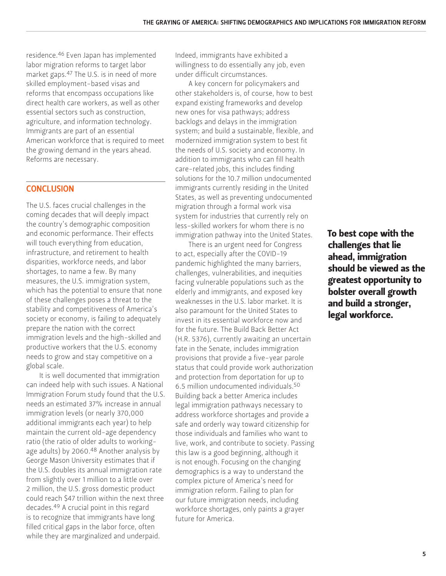residence.46 Even Japan has implemented labor migration reforms to target labor market gaps.47 The U.S. is in need of more skilled employment-based visas and reforms that encompass occupations like direct health care workers, as well as other essential sectors such as construction, agriculture, and information technology. Immigrants are part of an essential American workforce that is required to meet the growing demand in the years ahead. Reforms are necessary.

#### **CONCLUSION**

The U.S. faces crucial challenges in the coming decades that will deeply impact the country's demographic composition and economic performance. Their effects will touch everything from education, infrastructure, and retirement to health disparities, workforce needs, and labor shortages, to name a few. By many measures, the U.S. immigration system, which has the potential to ensure that none of these challenges poses a threat to the stability and competitiveness of America's society or economy, is failing to adequately prepare the nation with the correct immigration levels and the high-skilled and productive workers that the U.S. economy needs to grow and stay competitive on a global scale.

It is well documented that immigration can indeed help with such issues. A National Immigration Forum study found that the U.S. needs an estimated 37% increase in annual immigration levels (or nearly 370,000 additional immigrants each year) to help maintain the current old-age dependency ratio (the ratio of older adults to workingage adults) by 2060.<sup>48</sup> Another analysis by George Mason University estimates that if the U.S. doubles its annual immigration rate from slightly over 1 million to a little over 2 million, the U.S. gross domestic product could reach \$47 trillion within the next three decades.49 A crucial point in this regard is to recognize that immigrants have long filled critical gaps in the labor force, often while they are marginalized and underpaid.

Indeed, immigrants have exhibited a willingness to do essentially any job, even under difficult circumstances.

A key concern for policymakers and other stakeholders is, of course, how to best expand existing frameworks and develop new ones for visa pathways; address backlogs and delays in the immigration system; and build a sustainable, flexible, and modernized immigration system to best fit the needs of U.S. society and economy. In addition to immigrants who can fill health care-related jobs, this includes finding solutions for the 10.7 million undocumented immigrants currently residing in the United States, as well as preventing undocumented migration through a formal work visa system for industries that currently rely on less-skilled workers for whom there is no immigration pathway into the United States.

There is an urgent need for Congress to act, especially after the COVID-19 pandemic highlighted the many barriers, challenges, vulnerabilities, and inequities facing vulnerable populations such as the elderly and immigrants, and exposed key weaknesses in the U.S. labor market. It is also paramount for the United States to invest in its essential workforce now and for the future. The Build Back Better Act (H.R. 5376), currently awaiting an uncertain fate in the Senate, includes immigration provisions that provide a five-year parole status that could provide work authorization and protection from deportation for up to 6.5 million undocumented individuals.50 Building back a better America includes legal immigration pathways necessary to address workforce shortages and provide a safe and orderly way toward citizenship for those individuals and families who want to live, work, and contribute to society. Passing this law is a good beginning, although it is not enough. Focusing on the changing demographics is a way to understand the complex picture of America's need for immigration reform. Failing to plan for our future immigration needs, including workforce shortages, only paints a grayer future for America.

To best cope with the challenges that lie ahead, immigration should be viewed as the greatest opportunity to bolster overall growth and build a stronger, legal workforce.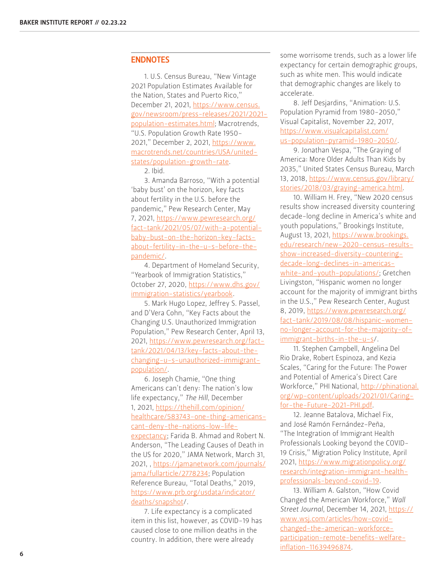#### **ENDNOTES**

1. U.S. Census Bureau, "New Vintage 2021 Population Estimates Available for the Nation, States and Puerto Rico," December 21, 2021, [https://www.census.](https://www.census.gov/newsroom/press-releases/2021/2021-population-estimates.html) [gov/newsroom/press-releases/2021/2021](https://www.census.gov/newsroom/press-releases/2021/2021-population-estimates.html) [population-estimates.html;](https://www.census.gov/newsroom/press-releases/2021/2021-population-estimates.html) Macrotrends, "U.S. Population Growth Rate 1950- 2021," December 2, 2021, [https://www.](https://www.macrotrends.net/countries/USA/united-states/population-growth-rate) [macrotrends.net/countries/USA/united](https://www.macrotrends.net/countries/USA/united-states/population-growth-rate)[states/population-growth-rate](https://www.macrotrends.net/countries/USA/united-states/population-growth-rate).

#### 2. Ibid.

3. Amanda Barroso, "With a potential 'baby bust' on the horizon, key facts about fertility in the U.S. before the pandemic," Pew Research Center, May 7, 2021, [https://www.pewresearch.org/](https://www.pewresearch.org/fact-tank/2021/05/07/with-a-potential-baby-bust-on-the-horizon-key-facts-about-fertility-in-the-u-s-before-the-pandemic/) [fact-tank/2021/05/07/with-a-potential](https://www.pewresearch.org/fact-tank/2021/05/07/with-a-potential-baby-bust-on-the-horizon-key-facts-about-fertility-in-the-u-s-before-the-pandemic/)[baby-bust-on-the-horizon-key-facts](https://www.pewresearch.org/fact-tank/2021/05/07/with-a-potential-baby-bust-on-the-horizon-key-facts-about-fertility-in-the-u-s-before-the-pandemic/)[about-fertility-in-the-u-s-before-the](https://www.pewresearch.org/fact-tank/2021/05/07/with-a-potential-baby-bust-on-the-horizon-key-facts-about-fertility-in-the-u-s-before-the-pandemic/)[pandemic/](https://www.pewresearch.org/fact-tank/2021/05/07/with-a-potential-baby-bust-on-the-horizon-key-facts-about-fertility-in-the-u-s-before-the-pandemic/).

4. Department of Homeland Security, "Yearbook of Immigration Statistics," October 27, 2020, [https://www.dhs.gov/](https://www.dhs.gov/immigration-statistics/yearbook) [immigration-statistics/yearbook.](https://www.dhs.gov/immigration-statistics/yearbook)

5. Mark Hugo Lopez, Jeffrey S. Passel, and D'Vera Cohn, "Key Facts about the Changing U.S. Unauthorized Immigration Population," Pew Research Center, April 13, 2021, [https://www.pewresearch.org/fact](https://www.pewresearch.org/fact-tank/2021/04/13/key-facts-about-the-changing-u-s-unauthorized-immig)[tank/2021/04/13/key-facts-about-the](https://www.pewresearch.org/fact-tank/2021/04/13/key-facts-about-the-changing-u-s-unauthorized-immig)[changing-u-s-unauthorized-immigrant](https://www.pewresearch.org/fact-tank/2021/04/13/key-facts-about-the-changing-u-s-unauthorized-immig)[population/.](https://www.pewresearch.org/fact-tank/2021/04/13/key-facts-about-the-changing-u-s-unauthorized-immig)

6. Joseph Chamie, "One thing Americans can't deny: The nation's low life expectancy," *The Hill*, December 1, 2021, [https://thehill.com/opinion/](https://thehill.com/opinion/healthcare/583743-one-thing-americans-cant-deny-the-nations-low-life-expectancy) [healthcare/583743-one-thing-americans](https://thehill.com/opinion/healthcare/583743-one-thing-americans-cant-deny-the-nations-low-life-expectancy)[cant-deny-the-nations-low-life](https://thehill.com/opinion/healthcare/583743-one-thing-americans-cant-deny-the-nations-low-life-expectancy)[expectancy](https://thehill.com/opinion/healthcare/583743-one-thing-americans-cant-deny-the-nations-low-life-expectancy); Farida B. Ahmad and Robert N. Anderson, "The Leading Causes of Death in the US for 2020," JAMA Network, March 31, 2021, , [https://jamanetwork.com/journals/](https://jamanetwork.com/journals/jama/fullarticle/2778234) [jama/fullarticle/2778234;](https://jamanetwork.com/journals/jama/fullarticle/2778234) Population Reference Bureau, "Total Deaths," 2019, [https://www.prb.org/usdata/indicator/](https://www.prb.org/usdata/indicator/deaths/snapshot) [deaths/snapshot/](https://www.prb.org/usdata/indicator/deaths/snapshot).

7. Life expectancy is a complicated item in this list, however, as COVID-19 has caused close to one million deaths in the country. In addition, there were already

some worrisome trends, such as a lower life expectancy for certain demographic groups, such as white men. This would indicate that demographic changes are likely to accelerate.

8. Jeff Desjardins, "Animation: U.S. Population Pyramid from 1980-2050," Visual Capitalist, November 22, 2017, [https://www.visualcapitalist.com/](https://www.visualcapitalist.com/us-population-pyramid-1980-2050/) [us-population-pyramid-1980-2050/.](https://www.visualcapitalist.com/us-population-pyramid-1980-2050/)

9. Jonathan Vespa, "The Graying of America: More Older Adults Than Kids by 2035," United States Census Bureau, March 13, 2018, [https://www.census.gov/library/](https://www.census.gov/library/stories/2018/03/graying-america.html) [stories/2018/03/graying-america.html.](https://www.census.gov/library/stories/2018/03/graying-america.html)

10. William H. Frey, "New 2020 census results show increased diversity countering decade-long decline in America's white and youth populations," Brookings Institute, August 13, 2021, [https://www.brookings.](https://www.brookings.edu/research/new-2020-census-results-show-increased-diversity-countering-decad) [edu/research/new-2020-census-results](https://www.brookings.edu/research/new-2020-census-results-show-increased-diversity-countering-decad)[show-increased-diversity-countering](https://www.brookings.edu/research/new-2020-census-results-show-increased-diversity-countering-decad)[decade-long-declines-in-americas](https://www.brookings.edu/research/new-2020-census-results-show-increased-diversity-countering-decad)[white-and-youth-populations/](https://www.brookings.edu/research/new-2020-census-results-show-increased-diversity-countering-decad); Gretchen Livingston, "Hispanic women no longer account for the majority of immigrant births in the U.S.," Pew Research Center, August 8, 2019, [https://www.pewresearch.org/](https://www.pewresearch.org/fact-tank/2019/08/08/hispanic-women-no-longer-account-for-the-majority-of-immigrant-births-in-the-u-s) [fact-tank/2019/08/08/hispanic-women](https://www.pewresearch.org/fact-tank/2019/08/08/hispanic-women-no-longer-account-for-the-majority-of-immigrant-births-in-the-u-s)[no-longer-account-for-the-majority-of](https://www.pewresearch.org/fact-tank/2019/08/08/hispanic-women-no-longer-account-for-the-majority-of-immigrant-births-in-the-u-s)[immigrant-births-in-the-u-s](https://www.pewresearch.org/fact-tank/2019/08/08/hispanic-women-no-longer-account-for-the-majority-of-immigrant-births-in-the-u-s)/.

11. Stephen Campbell, Angelina Del Rio Drake, Robert Espinoza, and Kezia Scales, "Caring for the Future: The Power and Potential of America's Direct Care Workforce," PHI National, [http://phinational.](http://phinational.org/wp-content/uploads/2021/01/Caring-for-the-Future-2021-PHI.pdf) [org/wp-content/uploads/2021/01/Caring](http://phinational.org/wp-content/uploads/2021/01/Caring-for-the-Future-2021-PHI.pdf)[for-the-Future-2021-PHI.pdf](http://phinational.org/wp-content/uploads/2021/01/Caring-for-the-Future-2021-PHI.pdf).

12. Jeanne Batalova, Michael Fix, and José Ramón Fernández-Peña, "The Integration of Immigrant Health Professionals Looking beyond the COVID-19 Crisis," Migration Policy Institute, April 2021, [https://www.migrationpolicy.org/](https://www.migrationpolicy.org/research/integration-immigrant-health-professionals-beyond-covid-19) [research/integration-immigrant-health](https://www.migrationpolicy.org/research/integration-immigrant-health-professionals-beyond-covid-19)[professionals-beyond-covid-19.](https://www.migrationpolicy.org/research/integration-immigrant-health-professionals-beyond-covid-19)

13. William A. Galston, "How Covid Changed the American Workforce," *Wall Street Journal*, December 14, 2021, [https://](https://www.wsj.com/articles/how-covid-changed-the-american-workforce-participation-remote-benefits-welfare-inflation-11639496874) [www.wsj.com/articles/how-covid](https://www.wsj.com/articles/how-covid-changed-the-american-workforce-participation-remote-benefits-welfare-inflation-11639496874)[changed-the-american-workforce](https://www.wsj.com/articles/how-covid-changed-the-american-workforce-participation-remote-benefits-welfare-inflation-11639496874)[participation-remote-benefits-welfare](https://www.wsj.com/articles/how-covid-changed-the-american-workforce-participation-remote-benefits-welfare-inflation-11639496874)[inflation-11639496874.](https://www.wsj.com/articles/how-covid-changed-the-american-workforce-participation-remote-benefits-welfare-inflation-11639496874)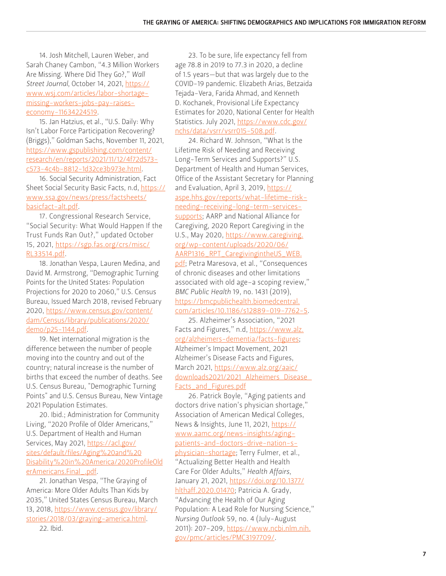14. Josh Mitchell, Lauren Weber, and Sarah Chaney Cambon, "4.3 Million Workers Are Missing. Where Did They Go?," *Wall Street Journal*, October 14, 2021, [https://](https://www.wsj.com/articles/labor-shortage-missing-workers-jobs-pay-raises-economy-11634224519) [www.wsj.com/articles/labor-shortage](https://www.wsj.com/articles/labor-shortage-missing-workers-jobs-pay-raises-economy-11634224519)[missing-workers-jobs-pay-raises](https://www.wsj.com/articles/labor-shortage-missing-workers-jobs-pay-raises-economy-11634224519)[economy-11634224519](https://www.wsj.com/articles/labor-shortage-missing-workers-jobs-pay-raises-economy-11634224519).

15. Jan Hatzius, et al., "U.S. Daily: Why Isn't Labor Force Participation Recovering? (Briggs)," Goldman Sachs, November 11, 2021, [https://www.gspublishing.com/content/](https://www.gspublishing.com/content/research/en/reports/2021/11/12/4f72d573-c573-4c4b-8812-1d32ce3b973e.html) [research/en/reports/2021/11/12/4f72d573](https://www.gspublishing.com/content/research/en/reports/2021/11/12/4f72d573-c573-4c4b-8812-1d32ce3b973e.html) [c573-4c4b-8812-1d32ce3b973e.html](https://www.gspublishing.com/content/research/en/reports/2021/11/12/4f72d573-c573-4c4b-8812-1d32ce3b973e.html).

16. Social Security Administration, Fact Sheet Social Security Basic Facts, n.d, [https://](https://www.ssa.gov/news/press/factsheets/basicfact-alt.pdf) [www.ssa.gov/news/press/factsheets/](https://www.ssa.gov/news/press/factsheets/basicfact-alt.pdf) [basicfact-alt.pdf.](https://www.ssa.gov/news/press/factsheets/basicfact-alt.pdf)

17. Congressional Research Service, "Social Security: What Would Happen If the Trust Funds Ran Out?," updated October 15, 2021, [https://sgp.fas.org/crs/misc/](https://sgp.fas.org/crs/misc/RL33514.pdf) [RL33514.pdf.](https://sgp.fas.org/crs/misc/RL33514.pdf)

18. Jonathan Vespa, Lauren Medina, and David M. Armstrong, "Demographic Turning Points for the United States: Population Projections for 2020 to 2060," U.S. Census Bureau, Issued March 2018, revised February 2020, [https://www.census.gov/content/](https://www.census.gov/content/dam/Census/library/publications/2020/demo/p25-1144.pdf) [dam/Census/library/publications/2020/](https://www.census.gov/content/dam/Census/library/publications/2020/demo/p25-1144.pdf) [demo/p25-1144.pdf.](https://www.census.gov/content/dam/Census/library/publications/2020/demo/p25-1144.pdf)

19. Net international migration is the difference between the number of people moving into the country and out of the country; natural increase is the number of births that exceed the number of deaths. See U.S. Census Bureau, "Demographic Turning Points" and U.S. Census Bureau, New Vintage 2021 Population Estimates.

20. Ibid.; Administration for Community Living, "2020 Profile of Older Americans," U.S. Department of Health and Human Services, May 2021, [https://acl.gov/](https://acl.gov/sites/default/files/Aging%20and%20Disability%20in%20America/2020ProfileOlderAmericans.Final_.pdf) [sites/default/files/Aging%20and%20](https://acl.gov/sites/default/files/Aging%20and%20Disability%20in%20America/2020ProfileOlderAmericans.Final_.pdf) [Disability%20in%20America/2020ProfileOld](https://acl.gov/sites/default/files/Aging%20and%20Disability%20in%20America/2020ProfileOlderAmericans.Final_.pdf) [erAmericans.Final\\_.pdf](https://acl.gov/sites/default/files/Aging%20and%20Disability%20in%20America/2020ProfileOlderAmericans.Final_.pdf).

21. Jonathan Vespa, "The Graying of America: More Older Adults Than Kids by 2035," United States Census Bureau, March 13, 2018, [https://www.census.gov/library/](https://www.census.gov/library/stories/2018/03/graying-america.html) [stories/2018/03/graying-america.html](https://www.census.gov/library/stories/2018/03/graying-america.html). 22. Ibid.

23. To be sure, life expectancy fell from age 78.8 in 2019 to 77.3 in 2020, a decline of 1.5 years—but that was largely due to the COVID-19 pandemic. Elizabeth Arias, Betzaida Tejada-Vera, Farida Ahmad, and Kenneth D. Kochanek, Provisional Life Expectancy Estimates for 2020, National Center for Health Statistics. July 2021, [https://www.cdc.gov/](https://www.cdc.gov/nchs/data/vsrr/vsrr015-508.pdf) [nchs/data/vsrr/vsrr015-508.pdf](https://www.cdc.gov/nchs/data/vsrr/vsrr015-508.pdf).

24. Richard W. Johnson, "What Is the Lifetime Risk of Needing and Receiving Long-Term Services and Supports?" U.S. Department of Health and Human Services, Office of the Assistant Secretary for Planning and Evaluation, April 3, 2019, [https://](https://aspe.hhs.gov/reports/what-lifetime-risk-needing-receiving-long-term-services-supports) [aspe.hhs.gov/reports/what-lifetime-risk](https://aspe.hhs.gov/reports/what-lifetime-risk-needing-receiving-long-term-services-supports)[needing-receiving-long-term-services](https://aspe.hhs.gov/reports/what-lifetime-risk-needing-receiving-long-term-services-supports)[supports;](https://aspe.hhs.gov/reports/what-lifetime-risk-needing-receiving-long-term-services-supports) AARP and National Alliance for Caregiving, 2020 Report Caregiving in the U.S., May 2020, [https://www.caregiving.](https://www.caregiving.org/wp-content/uploads/2020/06/AARP1316_RPT_CaregivingintheUS_WEB.pdf) [org/wp-content/uploads/2020/06/](https://www.caregiving.org/wp-content/uploads/2020/06/AARP1316_RPT_CaregivingintheUS_WEB.pdf) [AARP1316\\_RPT\\_CaregivingintheUS\\_WEB.](https://www.caregiving.org/wp-content/uploads/2020/06/AARP1316_RPT_CaregivingintheUS_WEB.pdf) [pdf](https://www.caregiving.org/wp-content/uploads/2020/06/AARP1316_RPT_CaregivingintheUS_WEB.pdf); Petra Maresova, et al., "Consequences of chronic diseases and other limitations associated with old age–a scoping review," *BMC Public Health* 19, no. 1431 (2019), [https://bmcpublichealth.biomedcentral.](https://bmcpublichealth.biomedcentral.com/articles/10.1186/s12889-019-7762-5) [com/articles/10.1186/s12889-019-7762-5](https://bmcpublichealth.biomedcentral.com/articles/10.1186/s12889-019-7762-5).

25. Alzheimer's Association, "2021 Facts and Figures," n.d, [https://www.alz.](https://www.alz.org/alzheimers-dementia/facts-figures) [org/alzheimers-dementia/facts-figures](https://www.alz.org/alzheimers-dementia/facts-figures); Alzheimer's Impact Movement, 2021 Alzheimer's Disease Facts and Figures, March 2021, [https://www.alz.org/aaic/](https://www.alz.org/aaic/downloads2021/2021_Alzheimers_Disease_Facts_and_Figures.pdf) [downloads2021/2021\\_Alzheimers\\_Disease\\_](https://www.alz.org/aaic/downloads2021/2021_Alzheimers_Disease_Facts_and_Figures.pdf) [Facts\\_and\\_Figures.pdf](https://www.alz.org/aaic/downloads2021/2021_Alzheimers_Disease_Facts_and_Figures.pdf)

26. Patrick Boyle, "Aging patients and doctors drive nation's physician shortage," Association of American Medical Colleges, News & Insights, June 11, 2021, [https://](https://www.aamc.org/news-insights/aging-patients-and-doctors-drive-nation-s-physician-shortage) [www.aamc.org/news-insights/aging](https://www.aamc.org/news-insights/aging-patients-and-doctors-drive-nation-s-physician-shortage)[patients-and-doctors-drive-nation-s](https://www.aamc.org/news-insights/aging-patients-and-doctors-drive-nation-s-physician-shortage)[physician-shortage;](https://www.aamc.org/news-insights/aging-patients-and-doctors-drive-nation-s-physician-shortage) Terry Fulmer, et al., "Actualizing Better Health and Health Care For Older Adults," *Health Affairs*, January 21, 2021, [https://doi.org/10.1377/](https://doi.org/10.1377/hlthaff.2020.01470) [hlthaff.2020.01470](https://doi.org/10.1377/hlthaff.2020.01470); Patricia A. Grady, "Advancing the Health of Our Aging Population: A Lead Role for Nursing Science," *Nursing Outlook* 59, no. 4 (July-August 2011): 207-209, [https://www.ncbi.nlm.nih.](https://www.aamc.org/news-insights/aging-patients-and-doctors-drive-nation-s-physician-shortage) [gov/pmc/articles/PMC3197709/](https://www.aamc.org/news-insights/aging-patients-and-doctors-drive-nation-s-physician-shortage).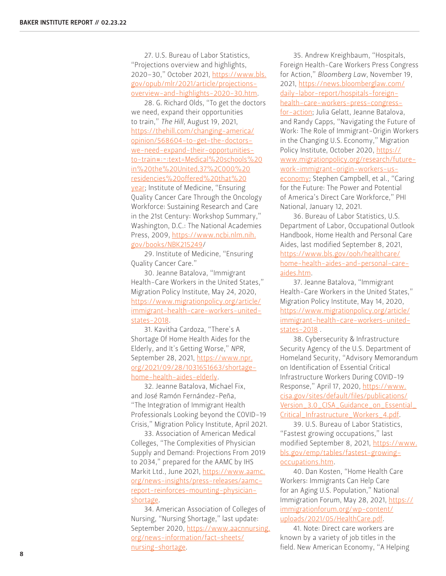27. U.S. Bureau of Labor Statistics, "Projections overview and highlights, 2020–30," October 2021, [https://www.bls.](https://www.bls.gov/opub/mlr/2021/article/projections-overview-and-highlights-2020-30.htm) [gov/opub/mlr/2021/article/projections](https://www.bls.gov/opub/mlr/2021/article/projections-overview-and-highlights-2020-30.htm)[overview-and-highlights-2020-30.htm.](https://www.bls.gov/opub/mlr/2021/article/projections-overview-and-highlights-2020-30.htm)

28. G. Richard Olds, "To get the doctors we need, expand their opportunities to train," *The Hill*, August 19, 2021, [https://thehill.com/changing-america/](https://thehill.com/changing-america/opinion/568604-to-get-the-doctors-we-need-expand-their-opportunities-to-train#:~:text=Medical%20schools%20in%20the%20United,37%2C000%20residencies%20offered%20that%20year) [opinion/568604-to-get-the-doctors](https://thehill.com/changing-america/opinion/568604-to-get-the-doctors-we-need-expand-their-opportunities-to-train#:~:text=Medical%20schools%20in%20the%20United,37%2C000%20residencies%20offered%20that%20year)[we-need-expand-their-opportunities](https://thehill.com/changing-america/opinion/568604-to-get-the-doctors-we-need-expand-their-opportunities-to-train#:~:text=Medical%20schools%20in%20the%20United,37%2C000%20residencies%20offered%20that%20year)[to-train#:~:text=Medical%20schools%20](https://thehill.com/changing-america/opinion/568604-to-get-the-doctors-we-need-expand-their-opportunities-to-train#:~:text=Medical%20schools%20in%20the%20United,37%2C000%20residencies%20offered%20that%20year) [in%20the%20United,37%2C000%20](https://thehill.com/changing-america/opinion/568604-to-get-the-doctors-we-need-expand-their-opportunities-to-train#:~:text=Medical%20schools%20in%20the%20United,37%2C000%20residencies%20offered%20that%20year) [residencies%20offered%20that%20](https://thehill.com/changing-america/opinion/568604-to-get-the-doctors-we-need-expand-their-opportunities-to-train#:~:text=Medical%20schools%20in%20the%20United,37%2C000%20residencies%20offered%20that%20year) [year;](https://thehill.com/changing-america/opinion/568604-to-get-the-doctors-we-need-expand-their-opportunities-to-train#:~:text=Medical%20schools%20in%20the%20United,37%2C000%20residencies%20offered%20that%20year) Institute of Medicine, "Ensuring Quality Cancer Care Through the Oncology Workforce: Sustaining Research and Care in the 21st Century: Workshop Summary," Washington, D.C.: The National Academies Press, 2009, [https://www.ncbi.nlm.nih.](https://www.ncbi.nlm.nih.gov/books/NBK215249) [gov/books/NBK215249](https://www.ncbi.nlm.nih.gov/books/NBK215249)/

29. Institute of Medicine, "Ensuring Quality Cancer Care."

30. Jeanne Batalova, "Immigrant Health-Care Workers in the United States," Migration Policy Institute, May 24, 2020, [https://www.migrationpolicy.org/article/](https://www.migrationpolicy.org/article/immigrant-health-care-workers-united-states-2018) [immigrant-health-care-workers-united](https://www.migrationpolicy.org/article/immigrant-health-care-workers-united-states-2018)[states-2018.](https://www.migrationpolicy.org/article/immigrant-health-care-workers-united-states-2018)

31. Kavitha Cardoza, "There's A Shortage Of Home Health Aides for the Elderly, and It's Getting Worse," *NPR*, September 28, 2021, [https://www.npr.](https://www.npr.org/2021/09/28/1031651663/shortage-home-health-aides-elderly) [org/2021/09/28/1031651663/shortage](https://www.npr.org/2021/09/28/1031651663/shortage-home-health-aides-elderly)[home-health-aides-elderly](https://www.npr.org/2021/09/28/1031651663/shortage-home-health-aides-elderly).

32. Jeanne Batalova, Michael Fix, and José Ramón Fernández-Peña, "The Integration of Immigrant Health Professionals Looking beyond the COVID-19 Crisis," Migration Policy Institute, April 2021.

33. Association of American Medical Colleges, "The Complexities of Physician Supply and Demand: Projections From 2019 to 2034," prepared for the AAMC by IHS Markit Ltd., June 2021, [https://www.aamc.](https://www.aamc.org/news-insights/press-releases/aamc-report-reinforces-mounting-physician-shortage) [org/news-insights/press-releases/aamc](https://www.aamc.org/news-insights/press-releases/aamc-report-reinforces-mounting-physician-shortage)[report-reinforces-mounting-physician](https://www.aamc.org/news-insights/press-releases/aamc-report-reinforces-mounting-physician-shortage)[shortage](https://www.aamc.org/news-insights/press-releases/aamc-report-reinforces-mounting-physician-shortage).

34. American Association of Colleges of Nursing, "Nursing Shortage," last update: September 2020, [https://www.aacnnursing.](https://www.aacnnursing.org/news-information/fact-sheets/nursing-shortage) [org/news-information/fact-sheets/](https://www.aacnnursing.org/news-information/fact-sheets/nursing-shortage) [nursing-shortage](https://www.aacnnursing.org/news-information/fact-sheets/nursing-shortage).

35. Andrew Kreighbaum, "Hospitals, Foreign Health-Care Workers Press Congress for Action," *Bloomberg Law*, November 19, 2021, [https://news.bloomberglaw.com/](https://news.bloomberglaw.com/daily-labor-report/hospitals-foreign-health-care-workers-press-congres) [daily-labor-report/hospitals-foreign](https://news.bloomberglaw.com/daily-labor-report/hospitals-foreign-health-care-workers-press-congres)[health-care-workers-press-congress](https://news.bloomberglaw.com/daily-labor-report/hospitals-foreign-health-care-workers-press-congres)[for-action;](https://news.bloomberglaw.com/daily-labor-report/hospitals-foreign-health-care-workers-press-congres) Julia Gelatt, Jeanne Batalova, and Randy Capps, "Navigating the Future of Work: The Role of Immigrant-Origin Workers in the Changing U.S. Economy," Migration Policy Institute, October 2020, [https://](https://www.migrationpolicy.org/research/future-work-immigrant-origin-workers-us-economy) [www.migrationpolicy.org/research/future](https://www.migrationpolicy.org/research/future-work-immigrant-origin-workers-us-economy)[work-immigrant-origin-workers-us](https://www.migrationpolicy.org/research/future-work-immigrant-origin-workers-us-economy)[economy](https://www.migrationpolicy.org/research/future-work-immigrant-origin-workers-us-economy); Stephen Campbell, et al., "Caring for the Future: The Power and Potential of America's Direct Care Workforce," PHI National, January 12, 2021.

36. Bureau of Labor Statistics, U.S. Department of Labor, Occupational Outlook Handbook, Home Health and Personal Care Aides, last modified September 8, 2021, [https://www.bls.gov/ooh/healthcare/](https://www.bls.gov/ooh/healthcare/home-health-aides-and-personal-care-aides.htm) [home-health-aides-and-personal-care](https://www.bls.gov/ooh/healthcare/home-health-aides-and-personal-care-aides.htm)[aides.htm.](https://www.bls.gov/ooh/healthcare/home-health-aides-and-personal-care-aides.htm)

37. Jeanne Batalova, "Immigrant Health-Care Workers in the United States," Migration Policy Institute, May 14, 2020, [https://www.migrationpolicy.org/article/](https://www.migrationpolicy.org/article/immigrant-health-care-workers-united-states-2018) [immigrant-health-care-workers-united](https://www.migrationpolicy.org/article/immigrant-health-care-workers-united-states-2018)[states-2018](https://www.migrationpolicy.org/article/immigrant-health-care-workers-united-states-2018) .

38. Cybersecurity & Infrastructure Security Agency of the U.S. Department of Homeland Security, "Advisory Memorandum on Identification of Essential Critical Infrastructure Workers During COVID-19 Response," April 17, 2020, [https://www.](https://www.cisa.gov/sites/default/files/publications/Version_3.0_CISA_Guidance_on_Essential_Critical_Infrastructure_Workers_4.pdf) [cisa.gov/sites/default/files/publications/](https://www.cisa.gov/sites/default/files/publications/Version_3.0_CISA_Guidance_on_Essential_Critical_Infrastructure_Workers_4.pdf) Version 3.0 CISA Guidance on Essential [Critical\\_Infrastructure\\_Workers\\_4.pdf.](https://www.cisa.gov/sites/default/files/publications/Version_3.0_CISA_Guidance_on_Essential_Critical_Infrastructure_Workers_4.pdf)

39. U.S. Bureau of Labor Statistics, "Fastest growing occupations," last modified September 8, 2021, [https://www.](https://www.bls.gov/emp/tables/fastest-growing-occupations.htm) [bls.gov/emp/tables/fastest-growing](https://www.bls.gov/emp/tables/fastest-growing-occupations.htm)[occupations.htm.](https://www.bls.gov/emp/tables/fastest-growing-occupations.htm)

40. Dan Kosten, "Home Health Care Workers: Immigrants Can Help Care for an Aging U.S. Population," National Immigration Forum, May 28, 2021, [https://](https://immigrationforum.org/wp-content/uploads/2021/05/HealthCare.pdf) [immigrationforum.org/wp-content/](https://immigrationforum.org/wp-content/uploads/2021/05/HealthCare.pdf) [uploads/2021/05/HealthCare.pdf](https://immigrationforum.org/wp-content/uploads/2021/05/HealthCare.pdf).

41. Note: Direct care workers are known by a variety of job titles in the field. New American Economy, "A Helping